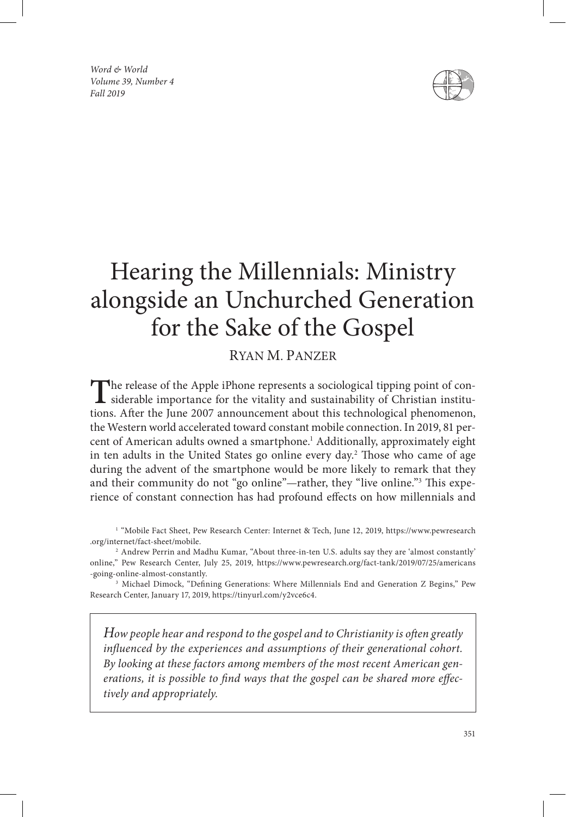*Word & World Volume 39, Number 4 Fall 2019*



# Hearing the Millennials: Ministry alongside an Unchurched Generation for the Sake of the Gospel

RYAN M. PANZER

The release of the Apple iPhone represents a sociological tipping point of con-<br>siderable importance for the vitality and sustainability of Christian institu-<br>tions. A feat the June 2007 appearancement short this technolog tions. After the June 2007 announcement about this technological phenomenon, the Western world accelerated toward constant mobile connection. In 2019, 81 percent of American adults owned a smartphone.<sup>1</sup> Additionally, approximately eight in ten adults in the United States go online every day.2 Those who came of age during the advent of the smartphone would be more likely to remark that they and their community do not "go online"—rather, they "live online."3 This experience of constant connection has had profound effects on how millennials and

<sup>1</sup> "Mobile Fact Sheet, Pew Research Center: Internet & Tech, June 12, 2019, https://www.pewresearch .org/internet/fact-sheet/mobile.

2 Andrew Perrin and Madhu Kumar, "About three-in-ten U.S. adults say they are 'almost constantly' online," Pew Research Center, July 25, 2019, https://www.pewresearch.org/fact-tank/2019/07/25/americans -going-online-almost-constantly.

3 Michael Dimock, "Defining Generations: Where Millennials End and Generation Z Begins," Pew Research Center, January 17, 2019, https://tinyurl.com/y2vce6c4.

*How people hear and respond to the gospel and to Christianity is often greatly influenced by the experiences and assumptions of their generational cohort. By looking at these factors among members of the most recent American generations, it is possible to find ways that the gospel can be shared more effectively and appropriately.*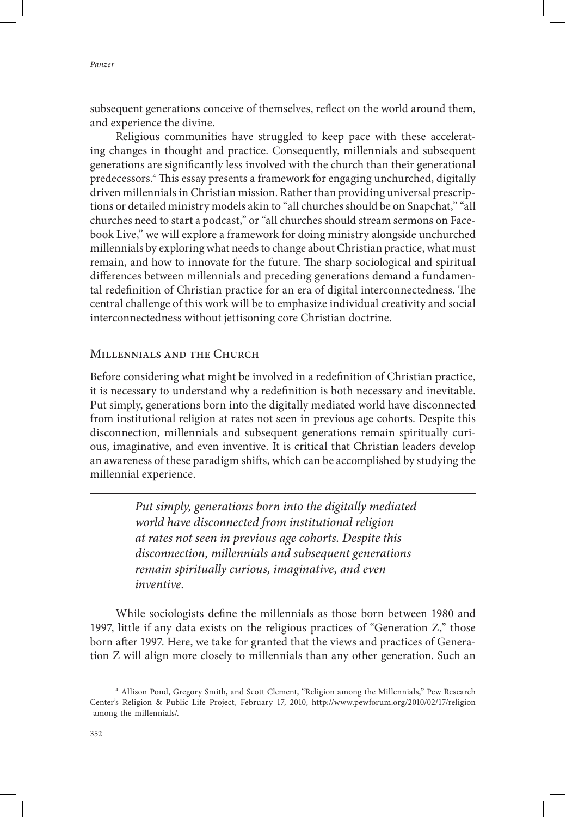subsequent generations conceive of themselves, reflect on the world around them, and experience the divine.

Religious communities have struggled to keep pace with these accelerating changes in thought and practice. Consequently, millennials and subsequent generations are significantly less involved with the church than their generational predecessors.4 This essay presents a framework for engaging unchurched, digitally driven millennials in Christian mission. Rather than providing universal prescriptions or detailed ministry models akin to "all churches should be on Snapchat," "all churches need to start a podcast," or "all churches should stream sermons on Facebook Live," we will explore a framework for doing ministry alongside unchurched millennials by exploring what needs to change about Christian practice, what must remain, and how to innovate for the future. The sharp sociological and spiritual differences between millennials and preceding generations demand a fundamental redefinition of Christian practice for an era of digital interconnectedness. The central challenge of this work will be to emphasize individual creativity and social interconnectedness without jettisoning core Christian doctrine.

#### Millennials and the Church

Before considering what might be involved in a redefinition of Christian practice, it is necessary to understand why a redefinition is both necessary and inevitable. Put simply, generations born into the digitally mediated world have disconnected from institutional religion at rates not seen in previous age cohorts. Despite this disconnection, millennials and subsequent generations remain spiritually curious, imaginative, and even inventive. It is critical that Christian leaders develop an awareness of these paradigm shifts, which can be accomplished by studying the millennial experience.

> *Put simply, generations born into the digitally mediated world have disconnected from institutional religion at rates not seen in previous age cohorts. Despite this disconnection, millennials and subsequent generations remain spiritually curious, imaginative, and even inventive.*

While sociologists define the millennials as those born between 1980 and 1997, little if any data exists on the religious practices of "Generation Z," those born after 1997. Here, we take for granted that the views and practices of Generation Z will align more closely to millennials than any other generation. Such an

<sup>4</sup> Allison Pond, Gregory Smith, and Scott Clement, "Religion among the Millennials," Pew Research Center's Religion & Public Life Project, February 17, 2010, http://www.pewforum.org/2010/02/17/religion -among-the-millennials/.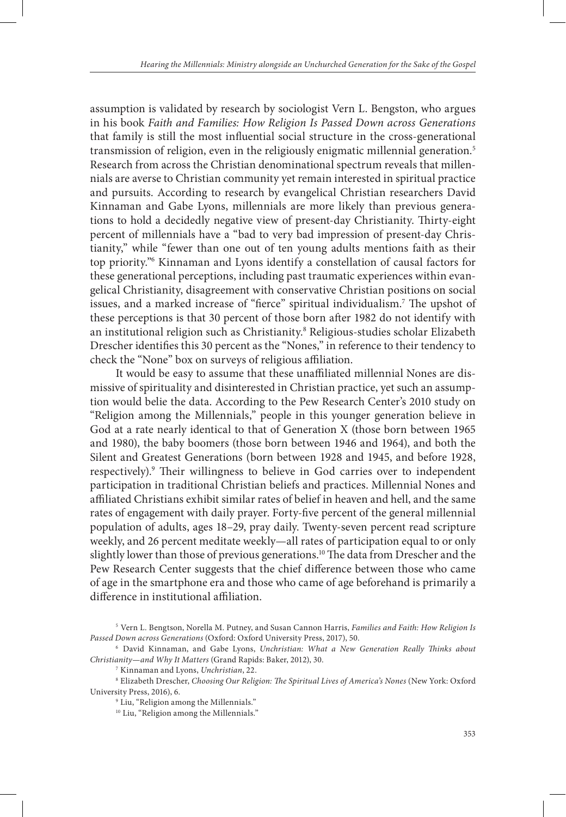assumption is validated by research by sociologist Vern L. Bengston, who argues in his book *Faith and Families: How Religion Is Passed Down across Generations* that family is still the most influential social structure in the cross-generational transmission of religion, even in the religiously enigmatic millennial generation.<sup>5</sup> Research from across the Christian denominational spectrum reveals that millennials are averse to Christian community yet remain interested in spiritual practice and pursuits. According to research by evangelical Christian researchers David Kinnaman and Gabe Lyons, millennials are more likely than previous generations to hold a decidedly negative view of present-day Christianity. Thirty-eight percent of millennials have a "bad to very bad impression of present-day Christianity," while "fewer than one out of ten young adults mentions faith as their top priority."6 Kinnaman and Lyons identify a constellation of causal factors for these generational perceptions, including past traumatic experiences within evangelical Christianity, disagreement with conservative Christian positions on social issues, and a marked increase of "fierce" spiritual individualism.7 The upshot of these perceptions is that 30 percent of those born after 1982 do not identify with an institutional religion such as Christianity.<sup>8</sup> Religious-studies scholar Elizabeth Drescher identifies this 30 percent as the "Nones," in reference to their tendency to check the "None" box on surveys of religious affiliation.

It would be easy to assume that these unaffiliated millennial Nones are dismissive of spirituality and disinterested in Christian practice, yet such an assumption would belie the data. According to the Pew Research Center's 2010 study on "Religion among the Millennials," people in this younger generation believe in God at a rate nearly identical to that of Generation X (those born between 1965 and 1980), the baby boomers (those born between 1946 and 1964), and both the Silent and Greatest Generations (born between 1928 and 1945, and before 1928, respectively).9 Their willingness to believe in God carries over to independent participation in traditional Christian beliefs and practices. Millennial Nones and affiliated Christians exhibit similar rates of belief in heaven and hell, and the same rates of engagement with daily prayer. Forty-five percent of the general millennial population of adults, ages 18–29, pray daily. Twenty-seven percent read scripture weekly, and 26 percent meditate weekly—all rates of participation equal to or only slightly lower than those of previous generations.<sup>10</sup> The data from Drescher and the Pew Research Center suggests that the chief difference between those who came of age in the smartphone era and those who came of age beforehand is primarily a difference in institutional affiliation.

<sup>5</sup> Vern L. Bengtson, Norella M. Putney, and Susan Cannon Harris, *Families and Faith: How Religion Is Passed Down across Generations* (Oxford: Oxford University Press, 2017), 50.

<sup>6</sup> David Kinnaman, and Gabe Lyons, *Unchristian: What a New Generation Really Thinks about Christianity—and Why It Matters* (Grand Rapids: Baker, 2012), 30.

<sup>7</sup> Kinnaman and Lyons, *Unchristian*, 22.

<sup>8</sup> Elizabeth Drescher, *Choosing Our Religion: The Spiritual Lives of America's Nones* (New York: Oxford University Press, 2016), 6.

<sup>9</sup> Liu, "Religion among the Millennials."

<sup>&</sup>lt;sup>10</sup> Liu, "Religion among the Millennials."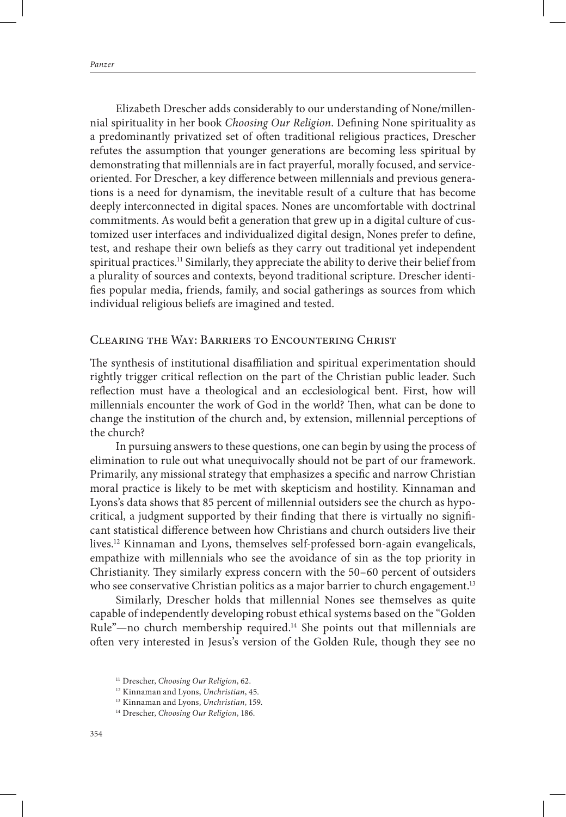Elizabeth Drescher adds considerably to our understanding of None/millennial spirituality in her book *Choosing Our Religion*. Defining None spirituality as a predominantly privatized set of often traditional religious practices, Drescher refutes the assumption that younger generations are becoming less spiritual by demonstrating that millennials are in fact prayerful, morally focused, and serviceoriented. For Drescher, a key difference between millennials and previous generations is a need for dynamism, the inevitable result of a culture that has become deeply interconnected in digital spaces. Nones are uncomfortable with doctrinal commitments. As would befit a generation that grew up in a digital culture of customized user interfaces and individualized digital design, Nones prefer to define, test, and reshape their own beliefs as they carry out traditional yet independent spiritual practices.<sup>11</sup> Similarly, they appreciate the ability to derive their belief from a plurality of sources and contexts, beyond traditional scripture. Drescher identifies popular media, friends, family, and social gatherings as sources from which individual religious beliefs are imagined and tested.

### Clearing the Way: Barriers to Encountering Christ

The synthesis of institutional disaffiliation and spiritual experimentation should rightly trigger critical reflection on the part of the Christian public leader. Such reflection must have a theological and an ecclesiological bent. First, how will millennials encounter the work of God in the world? Then, what can be done to change the institution of the church and, by extension, millennial perceptions of the church?

In pursuing answers to these questions, one can begin by using the process of elimination to rule out what unequivocally should not be part of our framework. Primarily, any missional strategy that emphasizes a specific and narrow Christian moral practice is likely to be met with skepticism and hostility. Kinnaman and Lyons's data shows that 85 percent of millennial outsiders see the church as hypocritical, a judgment supported by their finding that there is virtually no significant statistical difference between how Christians and church outsiders live their lives.12 Kinnaman and Lyons, themselves self-professed born-again evangelicals, empathize with millennials who see the avoidance of sin as the top priority in Christianity. They similarly express concern with the 50–60 percent of outsiders who see conservative Christian politics as a major barrier to church engagement.<sup>13</sup>

Similarly, Drescher holds that millennial Nones see themselves as quite capable of independently developing robust ethical systems based on the "Golden Rule"—no church membership required.<sup>14</sup> She points out that millennials are often very interested in Jesus's version of the Golden Rule, though they see no

<sup>11</sup> Drescher, *Choosing Our Religion*, 62.

<sup>12</sup> Kinnaman and Lyons, *Unchristian*, 45.

<sup>13</sup> Kinnaman and Lyons, *Unchristian*, 159.

<sup>14</sup> Drescher, *Choosing Our Religion*, 186.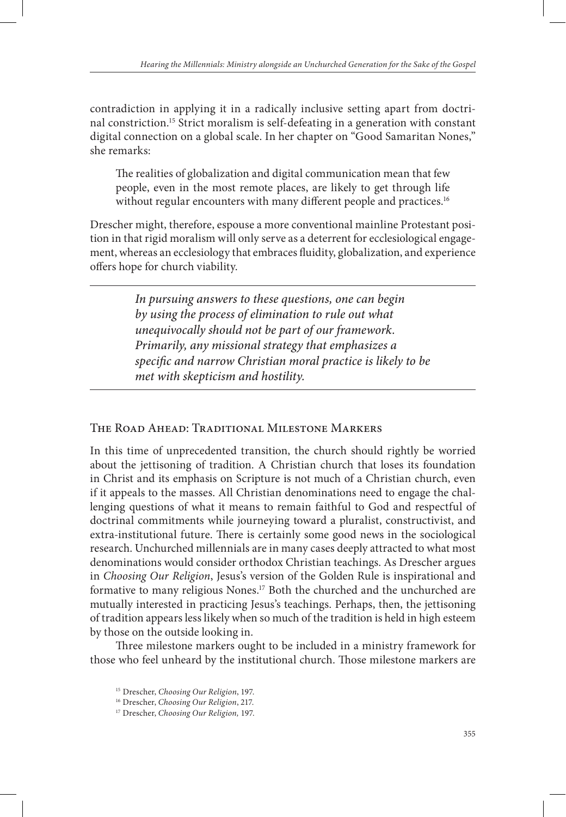contradiction in applying it in a radically inclusive setting apart from doctrinal constriction.15 Strict moralism is self-defeating in a generation with constant digital connection on a global scale. In her chapter on "Good Samaritan Nones," she remarks:

The realities of globalization and digital communication mean that few people, even in the most remote places, are likely to get through life without regular encounters with many different people and practices.<sup>16</sup>

Drescher might, therefore, espouse a more conventional mainline Protestant position in that rigid moralism will only serve as a deterrent for ecclesiological engagement, whereas an ecclesiology that embraces fluidity, globalization, and experience offers hope for church viability.

> *In pursuing answers to these questions, one can begin by using the process of elimination to rule out what unequivocally should not be part of our framework. Primarily, any missional strategy that emphasizes a specific and narrow Christian moral practice is likely to be met with skepticism and hostility.*

#### The Road Ahead: Traditional Milestone Markers

In this time of unprecedented transition, the church should rightly be worried about the jettisoning of tradition. A Christian church that loses its foundation in Christ and its emphasis on Scripture is not much of a Christian church, even if it appeals to the masses. All Christian denominations need to engage the challenging questions of what it means to remain faithful to God and respectful of doctrinal commitments while journeying toward a pluralist, constructivist, and extra-institutional future. There is certainly some good news in the sociological research. Unchurched millennials are in many cases deeply attracted to what most denominations would consider orthodox Christian teachings. As Drescher argues in *Choosing Our Religion*, Jesus's version of the Golden Rule is inspirational and formative to many religious Nones.17 Both the churched and the unchurched are mutually interested in practicing Jesus's teachings. Perhaps, then, the jettisoning of tradition appears less likely when so much of the tradition is held in high esteem by those on the outside looking in.

Three milestone markers ought to be included in a ministry framework for those who feel unheard by the institutional church. Those milestone markers are

<sup>15</sup> Drescher, *Choosing Our Religion*, 197.

<sup>16</sup> Drescher, *Choosing Our Religion*, 217.

<sup>17</sup> Drescher, *Choosing Our Religion,* 197.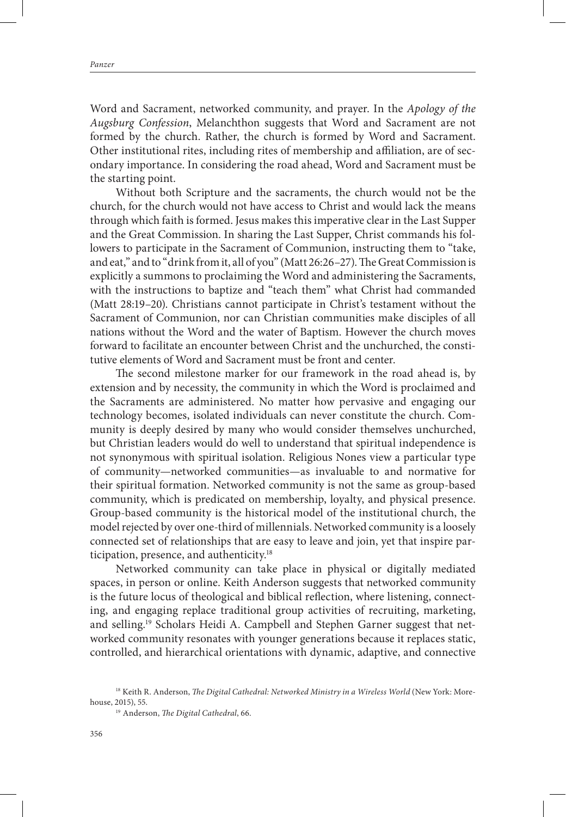Word and Sacrament, networked community, and prayer. In the *Apology of the Augsburg Confession*, Melanchthon suggests that Word and Sacrament are not formed by the church. Rather, the church is formed by Word and Sacrament. Other institutional rites, including rites of membership and affiliation, are of secondary importance. In considering the road ahead, Word and Sacrament must be the starting point.

Without both Scripture and the sacraments, the church would not be the church, for the church would not have access to Christ and would lack the means through which faith is formed. Jesus makes this imperative clear in the Last Supper and the Great Commission. In sharing the Last Supper, Christ commands his followers to participate in the Sacrament of Communion, instructing them to "take, and eat," and to "drink from it, all of you" (Matt 26:26–27). The Great Commission is explicitly a summons to proclaiming the Word and administering the Sacraments, with the instructions to baptize and "teach them" what Christ had commanded (Matt 28:19–20). Christians cannot participate in Christ's testament without the Sacrament of Communion, nor can Christian communities make disciples of all nations without the Word and the water of Baptism. However the church moves forward to facilitate an encounter between Christ and the unchurched, the constitutive elements of Word and Sacrament must be front and center.

The second milestone marker for our framework in the road ahead is, by extension and by necessity, the community in which the Word is proclaimed and the Sacraments are administered. No matter how pervasive and engaging our technology becomes, isolated individuals can never constitute the church. Community is deeply desired by many who would consider themselves unchurched, but Christian leaders would do well to understand that spiritual independence is not synonymous with spiritual isolation. Religious Nones view a particular type of community—networked communities—as invaluable to and normative for their spiritual formation. Networked community is not the same as group-based community, which is predicated on membership, loyalty, and physical presence. Group-based community is the historical model of the institutional church, the model rejected by over one-third of millennials. Networked community is a loosely connected set of relationships that are easy to leave and join, yet that inspire participation, presence, and authenticity.18

Networked community can take place in physical or digitally mediated spaces, in person or online. Keith Anderson suggests that networked community is the future locus of theological and biblical reflection, where listening, connecting, and engaging replace traditional group activities of recruiting, marketing, and selling.19 Scholars Heidi A. Campbell and Stephen Garner suggest that networked community resonates with younger generations because it replaces static, controlled, and hierarchical orientations with dynamic, adaptive, and connective

<sup>&</sup>lt;sup>18</sup> Keith R. Anderson, *The Digital Cathedral: Networked Ministry in a Wireless World* (New York: Morehouse, 2015), 55.

<sup>19</sup> Anderson, *The Digital Cathedral*, 66.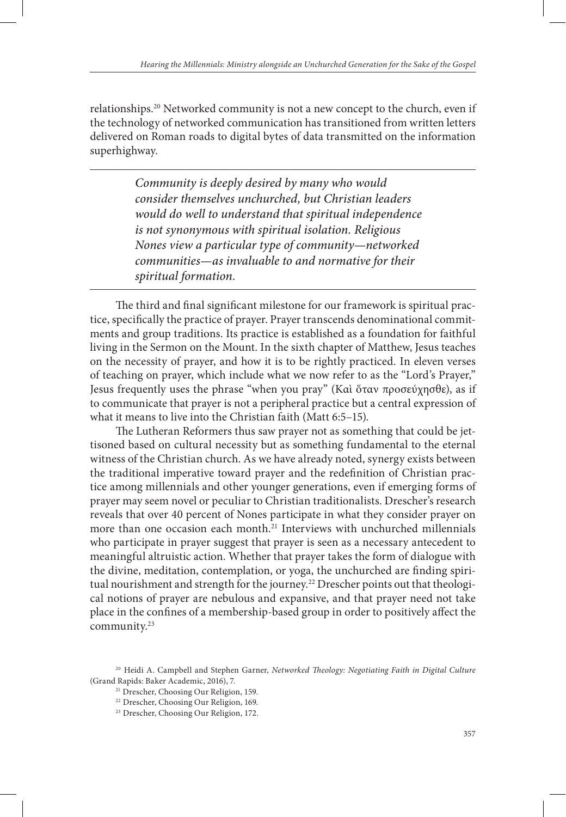relationships.<sup>20</sup> Networked community is not a new concept to the church, even if the technology of networked communication has transitioned from written letters delivered on Roman roads to digital bytes of data transmitted on the information superhighway.

> *Community is deeply desired by many who would consider themselves unchurched, but Christian leaders would do well to understand that spiritual independence is not synonymous with spiritual isolation. Religious Nones view a particular type of community—networked communities—as invaluable to and normative for their spiritual formation.*

The third and final significant milestone for our framework is spiritual practice, specifically the practice of prayer. Prayer transcends denominational commitments and group traditions. Its practice is established as a foundation for faithful living in the Sermon on the Mount. In the sixth chapter of Matthew, Jesus teaches on the necessity of prayer, and how it is to be rightly practiced. In eleven verses of teaching on prayer, which include what we now refer to as the "Lord's Prayer," Jesus frequently uses the phrase "when you pray" (Καὶ ὅταν προσεύχησθε), as if to communicate that prayer is not a peripheral practice but a central expression of what it means to live into the Christian faith (Matt 6:5–15).

The Lutheran Reformers thus saw prayer not as something that could be jettisoned based on cultural necessity but as something fundamental to the eternal witness of the Christian church. As we have already noted, synergy exists between the traditional imperative toward prayer and the redefinition of Christian practice among millennials and other younger generations, even if emerging forms of prayer may seem novel or peculiar to Christian traditionalists. Drescher's research reveals that over 40 percent of Nones participate in what they consider prayer on more than one occasion each month.<sup>21</sup> Interviews with unchurched millennials who participate in prayer suggest that prayer is seen as a necessary antecedent to meaningful altruistic action. Whether that prayer takes the form of dialogue with the divine, meditation, contemplation, or yoga, the unchurched are finding spiritual nourishment and strength for the journey.<sup>22</sup> Drescher points out that theological notions of prayer are nebulous and expansive, and that prayer need not take place in the confines of a membership-based group in order to positively affect the community.23

<sup>20</sup> Heidi A. Campbell and Stephen Garner, *Networked Theology: Negotiating Faith in Digital Culture* (Grand Rapids: Baker Academic, 2016), 7.

<sup>&</sup>lt;sup>21</sup> Drescher, Choosing Our Religion, 159.

<sup>22</sup> Drescher, Choosing Our Religion, 169.

<sup>23</sup> Drescher, Choosing Our Religion, 172.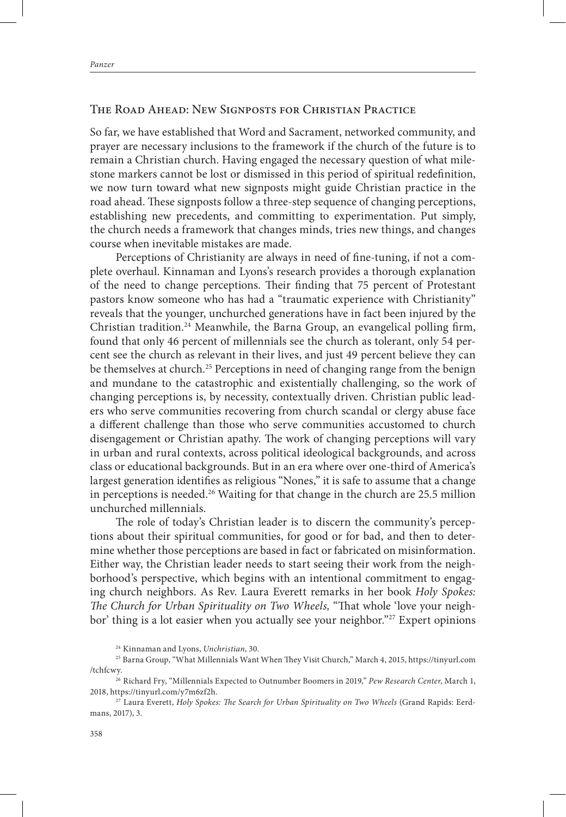## The Road Ahead: New Signposts for Christian Practice

So far, we have established that Word and Sacrament, networked community, and prayer are necessary inclusions to the framework if the church of the future is to remain a Christian church. Having engaged the necessary question of what milestone markers cannot be lost or dismissed in this period of spiritual redefinition, we now turn toward what new signposts might guide Christian practice in the road ahead. These signposts follow a three-step sequence of changing perceptions, establishing new precedents, and committing to experimentation. Put simply, the church needs a framework that changes minds, tries new things, and changes course when inevitable mistakes are made.

Perceptions of Christianity are always in need of fine-tuning, if not a complete overhaul. Kinnaman and Lyons's research provides a thorough explanation of the need to change perceptions. Their finding that 75 percent of Protestant pastors know someone who has had a "traumatic experience with Christianity" reveals that the younger, unchurched generations have in fact been injured by the Christian tradition.<sup>24</sup> Meanwhile, the Barna Group, an evangelical polling firm, found that only 46 percent of millennials see the church as tolerant, only 54 percent see the church as relevant in their lives, and just 49 percent believe they can be themselves at church.<sup>25</sup> Perceptions in need of changing range from the benign and mundane to the catastrophic and existentially challenging, so the work of changing perceptions is, by necessity, contextually driven. Christian public leaders who serve communities recovering from church scandal or clergy abuse face a different challenge than those who serve communities accustomed to church disengagement or Christian apathy. The work of changing perceptions will vary in urban and rural contexts, across political ideological backgrounds, and across class or educational backgrounds. But in an era where over one-third of America's largest generation identifies as religious "Nones," it is safe to assume that a change in perceptions is needed.<sup>26</sup> Waiting for that change in the church are 25.5 million unchurched millennials.

The role of today's Christian leader is to discern the community's perceptions about their spiritual communities, for good or for bad, and then to determine whether those perceptions are based in fact or fabricated on misinformation. Either way, the Christian leader needs to start seeing their work from the neighborhood's perspective, which begins with an intentional commitment to engaging church neighbors. As Rev. Laura Everett remarks in her book *Holy Spokes: The Church for Urban Spirituality on Two Wheels,* "That whole 'love your neighbor' thing is a lot easier when you actually see your neighbor."<sup>27</sup> Expert opinions

<sup>24</sup> Kinnaman and Lyons, *Unchristian*, 30.

<sup>25</sup> Barna Group, "What Millennials Want When They Visit Church," March 4, 2015, https://tinyurl.com /tchfcwy.

<sup>26</sup> Richard Fry, "Millennials Expected to Outnumber Boomers in 2019," *Pew Research Center*, March 1, 2018, https://tinyurl.com/y7m6zf2h.

<sup>27</sup> Laura Everett, *Holy Spokes: The Search for Urban Spirituality on Two Wheels* (Grand Rapids: Eerdmans, 2017), 3.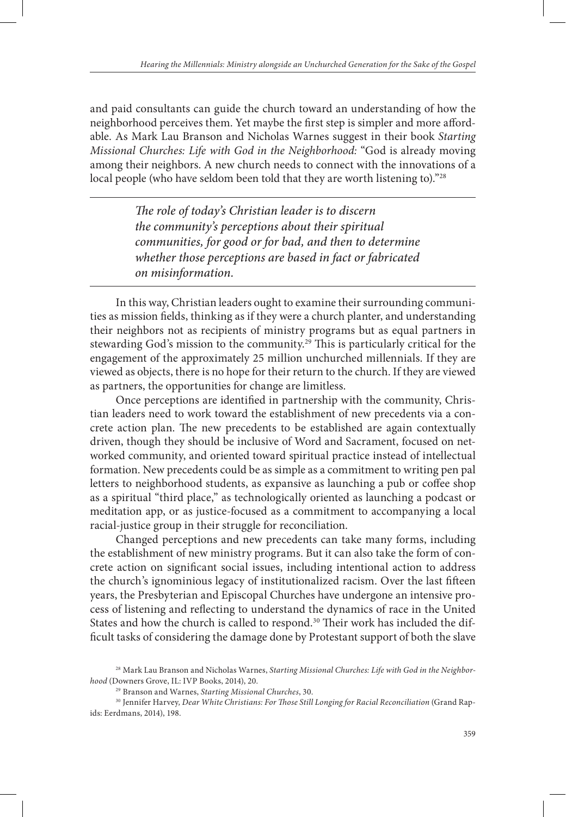and paid consultants can guide the church toward an understanding of how the neighborhood perceives them. Yet maybe the first step is simpler and more affordable. As Mark Lau Branson and Nicholas Warnes suggest in their book *Starting Missional Churches: Life with God in the Neighborhood:* "God is already moving among their neighbors. A new church needs to connect with the innovations of a local people (who have seldom been told that they are worth listening to)."28

> *The role of today's Christian leader is to discern the community's perceptions about their spiritual communities, for good or for bad, and then to determine whether those perceptions are based in fact or fabricated on misinformation.*

In this way, Christian leaders ought to examine their surrounding communities as mission fields, thinking as if they were a church planter, and understanding their neighbors not as recipients of ministry programs but as equal partners in stewarding God's mission to the community.29 This is particularly critical for the engagement of the approximately 25 million unchurched millennials. If they are viewed as objects, there is no hope for their return to the church. If they are viewed as partners, the opportunities for change are limitless.

Once perceptions are identified in partnership with the community, Christian leaders need to work toward the establishment of new precedents via a concrete action plan. The new precedents to be established are again contextually driven, though they should be inclusive of Word and Sacrament, focused on networked community, and oriented toward spiritual practice instead of intellectual formation. New precedents could be as simple as a commitment to writing pen pal letters to neighborhood students, as expansive as launching a pub or coffee shop as a spiritual "third place," as technologically oriented as launching a podcast or meditation app, or as justice-focused as a commitment to accompanying a local racial-justice group in their struggle for reconciliation.

Changed perceptions and new precedents can take many forms, including the establishment of new ministry programs. But it can also take the form of concrete action on significant social issues, including intentional action to address the church's ignominious legacy of institutionalized racism. Over the last fifteen years, the Presbyterian and Episcopal Churches have undergone an intensive process of listening and reflecting to understand the dynamics of race in the United States and how the church is called to respond.<sup>30</sup> Their work has included the difficult tasks of considering the damage done by Protestant support of both the slave

<sup>28</sup> Mark Lau Branson and Nicholas Warnes, *Starting Missional Churches: Life with God in the Neighborhood* (Downers Grove, IL: IVP Books, 2014), 20.

<sup>29</sup> Branson and Warnes, *Starting Missional Churches*, 30.

<sup>30</sup> Jennifer Harvey*, Dear White Christians: For Those Still Longing for Racial Reconciliation* (Grand Rapids: Eerdmans, 2014), 198.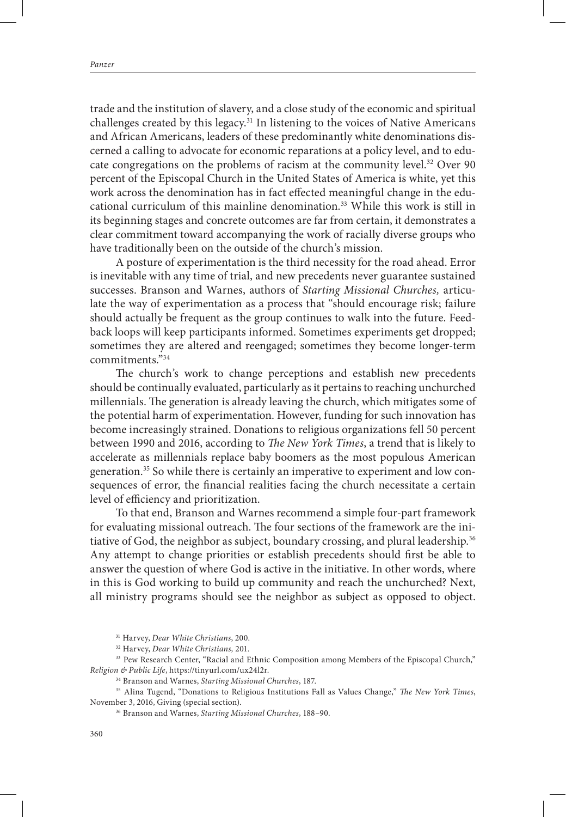trade and the institution of slavery, and a close study of the economic and spiritual challenges created by this legacy.<sup>31</sup> In listening to the voices of Native Americans and African Americans, leaders of these predominantly white denominations discerned a calling to advocate for economic reparations at a policy level, and to educate congregations on the problems of racism at the community level.<sup>32</sup> Over 90 percent of the Episcopal Church in the United States of America is white, yet this work across the denomination has in fact effected meaningful change in the educational curriculum of this mainline denomination.33 While this work is still in its beginning stages and concrete outcomes are far from certain, it demonstrates a clear commitment toward accompanying the work of racially diverse groups who have traditionally been on the outside of the church's mission.

A posture of experimentation is the third necessity for the road ahead. Error is inevitable with any time of trial, and new precedents never guarantee sustained successes. Branson and Warnes, authors of *Starting Missional Churches,* articulate the way of experimentation as a process that "should encourage risk; failure should actually be frequent as the group continues to walk into the future. Feedback loops will keep participants informed. Sometimes experiments get dropped; sometimes they are altered and reengaged; sometimes they become longer-term commitments."34

The church's work to change perceptions and establish new precedents should be continually evaluated, particularly as it pertains to reaching unchurched millennials. The generation is already leaving the church, which mitigates some of the potential harm of experimentation. However, funding for such innovation has become increasingly strained. Donations to religious organizations fell 50 percent between 1990 and 2016, according to *The New York Times*, a trend that is likely to accelerate as millennials replace baby boomers as the most populous American generation.35 So while there is certainly an imperative to experiment and low consequences of error, the financial realities facing the church necessitate a certain level of efficiency and prioritization.

To that end, Branson and Warnes recommend a simple four-part framework for evaluating missional outreach. The four sections of the framework are the initiative of God, the neighbor as subject, boundary crossing, and plural leadership.<sup>36</sup> Any attempt to change priorities or establish precedents should first be able to answer the question of where God is active in the initiative. In other words, where in this is God working to build up community and reach the unchurched? Next, all ministry programs should see the neighbor as subject as opposed to object.

<sup>33</sup> Pew Research Center, "Racial and Ethnic Composition among Members of the Episcopal Church," *Religion & Public Life*, https://tinyurl.com/ux24l2r.

34 Branson and Warnes, *Starting Missional Churches*, 187.

35 Alina Tugend, "Donations to Religious Institutions Fall as Values Change," *The New York Times*, November 3, 2016, Giving (special section).

<sup>31</sup> Harvey, *Dear White Christians*, 200.

<sup>32</sup> Harvey, *Dear White Christians,* 201.

<sup>36</sup> Branson and Warnes, *Starting Missional Churches*, 188–90.